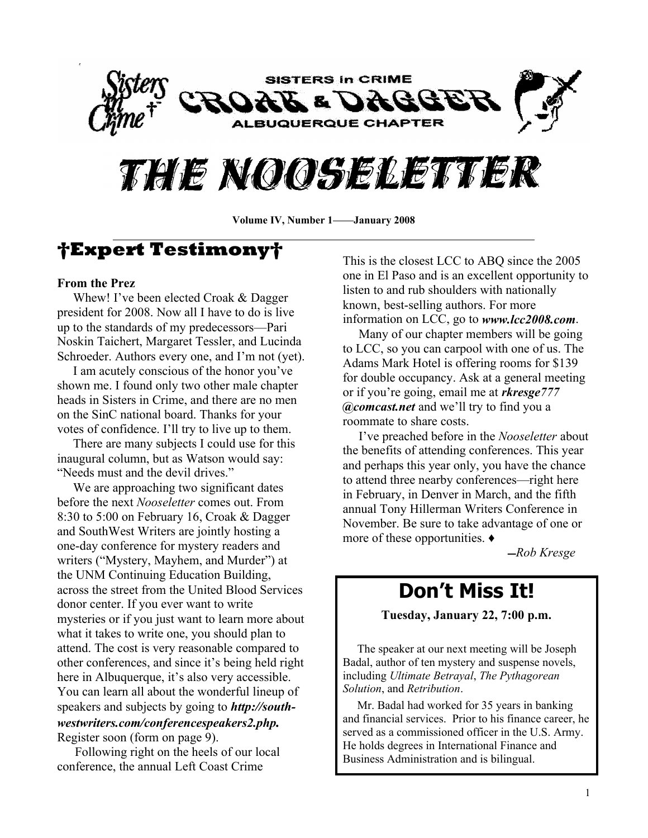

# THE NOOSELETTER

**Volume IV, Number 1 January 2008**

### **Expert Testimony**

#### **From the Prez**

Whew! I've been elected Croak  $&$  Dagger president for 2008. Now all I have to do is live up to the standards of my predecessors—Pari Noskin Taichert, Margaret Tessler, and Lucinda Schroeder. Authors every one, and I'm not (yet).

I am acutely conscious of the honor you've shown me. I found only two other male chapter heads in Sisters in Crime, and there are no men on the SinC national board. Thanks for your votes of confidence. I'll try to live up to them.

 There are many subjects I could use for this inaugural column, but as Watson would say: "Needs must and the devil drives."

 We are approaching two significant dates before the next *Nooseletter* comes out. From 8:30 to 5:00 on February 16, Croak & Dagger and SouthWest Writers are jointly hosting a one-day conference for mystery readers and writers ("Mystery, Mayhem, and Murder") at the UNM Continuing Education Building, across the street from the United Blood Services donor center. If you ever want to write mysteries or if you just want to learn more about what it takes to write one, you should plan to attend. The cost is very reasonable compared to other conferences, and since it's being held right here in Albuquerque, it's also very accessible. You can learn all about the wonderful lineup of speakers and subjects by going to *<http://south>westwriters.com/conferencespeakers2.php.* Register soon (form on page 9).

 Following right on the heels of our local conference, the annual Left Coast Crime

This is the closest LCC to ABQ since the 2005 one in El Paso and is an excellent opportunity to listen to and rub shoulders with nationally known, best-selling authors. For more information on LCC, go to *www.lcc2008.com*.

 Many of our chapter members will be going to LCC, so you can carpool with one of us. The Adams Mark Hotel is offering rooms for \$139 for double occupancy. Ask at a general meeting or if you're going, email me at *rkresge*777 *@comcast.net* and we'll try to find you a roommate to share costs.

 I¶ve preached before in the *Nooseletter* about the benefits of attending conferences. This year and perhaps this year only, you have the chance to attend three nearby conferences—right here in February, in Denver in March, and the fifth annual Tony Hillerman Writers Conference in November. Be sure to take advantage of one or more of these opportunities.  $\triangleleft$ 

̛*Rob Kresge*

# **Don¶t Miss It!**

**Tuesday, January 22, 7:00 p.m.**

 The speaker at our next meeting will be Joseph Badal, author of ten mystery and suspense novels, including *Ultimate Betrayal*, *The Pythagorean Solution*, and *Retribution*.

 Mr. Badal had worked for 35 years in banking and financial services. Prior to his finance career, he served as a commissioned officer in the U.S. Army. He holds degrees in International Finance and Business Administration and is bilingual.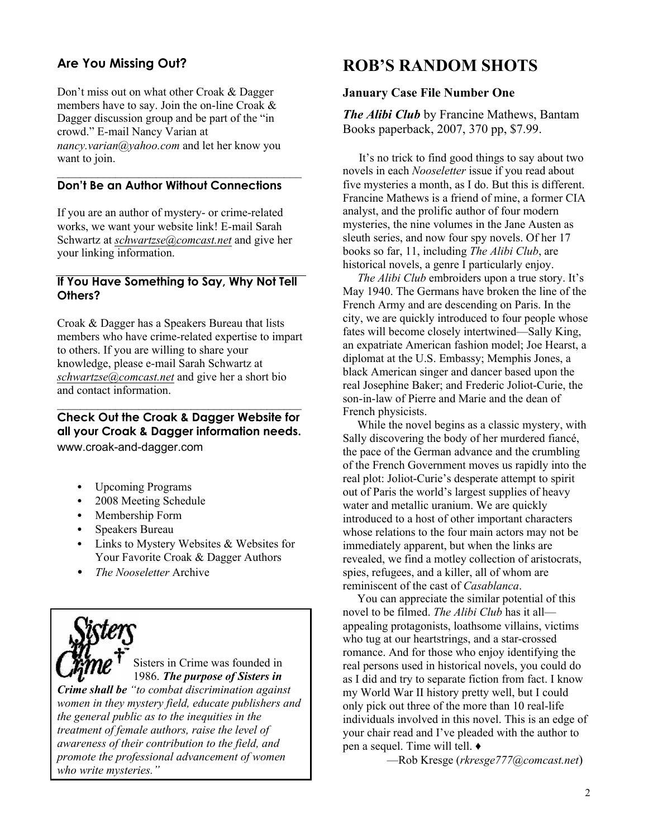### **Are You Missing Out?**

Don't miss out on what other Croak & Dagger members have to say. Join the on-line Croak & Dagger discussion group and be part of the "in" crowd." E-mail Nancy Varian at *nancy.varian@yahoo.com* and let her know you want to join.

#### **Don·t Be an Author Without Connections**

If you are an author of mystery- or crime-related works, we want your website link! E-mail Sarah Schwartz at *schwartzse@comcast.net* and give her your linking information.

#### **If You Have Something to Say, Why Not Tell Others?**

Croak & Dagger has a Speakers Bureau that lists members who have crime-related expertise to impart to others. If you are willing to share your knowledge, please e-mail Sarah Schwartz at *schwartzse@comcast.net* and give her a short bio and contact information.

### **Check Out the Croak & Dagger Website for all your Croak & Dagger information needs.** www.croak-and-dagger.com

 $\mathcal{L}_\text{max}$ 

- Upcoming Programs
- 2008 Meeting Schedule
- Membership Form
- Speakers Bureau
- Links to Mystery Websites & Websites for Your Favorite Croak & Dagger Authors
- *The Nooseletter* Archive

Sisters in Crime was founded in 1986. *The purpose of Sisters in Crime shall be ³to combat discrimination against women in they mystery field, educate publishers and the general public as to the inequities in the treatment of female authors, raise the level of awareness of their contribution to the field, and promote the professional advancement of women who write mysteries.´*

### **ROB¶S RANDOM SHOTS**

#### **January Case File Number One**

*The Alibi Club* by Francine Mathews, Bantam Books paperback, 2007, 370 pp, \$7.99.

It's no trick to find good things to say about two novels in each *Nooseletter* issue if you read about five mysteries a month, as I do. But this is different. Francine Mathews is a friend of mine, a former CIA analyst, and the prolific author of four modern mysteries, the nine volumes in the Jane Austen as sleuth series, and now four spy novels. Of her 17 books so far, 11, including *The Alibi Club*, are historical novels, a genre I particularly enjoy.

*The Alibi Club* embroiders upon a true story. It's May 1940. The Germans have broken the line of the French Army and are descending on Paris. In the city, we are quickly introduced to four people whose fates will become closely intertwined—Sally King, an expatriate American fashion model; Joe Hearst, a diplomat at the U.S. Embassy; Memphis Jones, a black American singer and dancer based upon the real Josephine Baker; and Frederic Joliot-Curie, the son-in-law of Pierre and Marie and the dean of French physicists.

 While the novel begins as a classic mystery, with Sally discovering the body of her murdered fiancé, the pace of the German advance and the crumbling of the French Government moves us rapidly into the real plot: Joliot-Curie's desperate attempt to spirit out of Paris the world's largest supplies of heavy water and metallic uranium. We are quickly introduced to a host of other important characters whose relations to the four main actors may not be immediately apparent, but when the links are revealed, we find a motley collection of aristocrats, spies, refugees, and a killer, all of whom are reminiscent of the cast of *Casablanca*.

 You can appreciate the similar potential of this novel to be filmed. *The Alibi Club* has it all appealing protagonists, loathsome villains, victims who tug at our heartstrings, and a star-crossed romance. And for those who enjoy identifying the real persons used in historical novels, you could do as I did and try to separate fiction from fact. I know my World War II history pretty well, but I could only pick out three of the more than 10 real-life individuals involved in this novel. This is an edge of your chair read and I've pleaded with the author to pen a sequel. Time will tell.  $\triangleleft$ 

²Rob Kresge (*rkresge777@comcast.net*)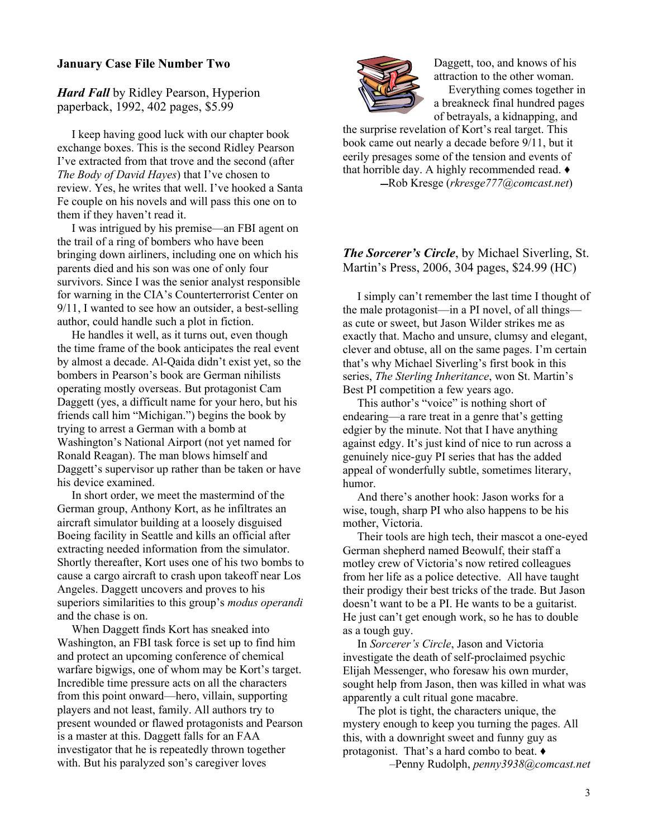#### **January Case File Number Two**

*Hard Fall* by Ridley Pearson, Hyperion paperback, 1992, 402 pages, \$5.99

 I keep having good luck with our chapter book exchange boxes. This is the second Ridley Pearson I've extracted from that trove and the second (after *The Body of David Hayes*) that I've chosen to review. Yes, he writes that well. I've hooked a Santa Fe couple on his novels and will pass this one on to them if they haven't read it.

I was intrigued by his premise—an FBI agent on the trail of a ring of bombers who have been bringing down airliners, including one on which his parents died and his son was one of only four survivors. Since I was the senior analyst responsible for warning in the CIA's Counterterrorist Center on 9/11, I wanted to see how an outsider, a best-selling author, could handle such a plot in fiction.

 He handles it well, as it turns out, even though the time frame of the book anticipates the real event by almost a decade. Al-Qaida didn't exist yet, so the bombers in Pearson's book are German nihilists operating mostly overseas. But protagonist Cam Daggett (yes, a difficult name for your hero, but his friends call him "Michigan.") begins the book by trying to arrest a German with a bomb at Washington's National Airport (not yet named for Ronald Reagan). The man blows himself and Daggett's supervisor up rather than be taken or have his device examined.

 In short order, we meet the mastermind of the German group, Anthony Kort, as he infiltrates an aircraft simulator building at a loosely disguised Boeing facility in Seattle and kills an official after extracting needed information from the simulator. Shortly thereafter, Kort uses one of his two bombs to cause a cargo aircraft to crash upon takeoff near Los Angeles. Daggett uncovers and proves to his superiors similarities to this group's *modus operandi* and the chase is on.

 When Daggett finds Kort has sneaked into Washington, an FBI task force is set up to find him and protect an upcoming conference of chemical warfare bigwigs, one of whom may be Kort's target. Incredible time pressure acts on all the characters from this point onward—hero, villain, supporting players and not least, family. All authors try to present wounded or flawed protagonists and Pearson is a master at this. Daggett falls for an FAA investigator that he is repeatedly thrown together with. But his paralyzed son's caregiver loves



Daggett, too, and knows of his attraction to the other woman. Everything comes together in

a breakneck final hundred pages of betrayals, a kidnapping, and

the surprise revelation of Kort's real target. This book came out nearly a decade before 9/11, but it eerily presages some of the tension and events of that horrible day. A highly recommended read.  $\blacklozenge$ ̛Rob Kresge (*rkresge777@comcast.net*)

#### *The Sorcerer's Circle, by Michael Siverling, St.* Martin's Press, 2006, 304 pages, \$24.99 (HC)

I simply can't remember the last time I thought of the male protagonist—in a PI novel, of all things as cute or sweet, but Jason Wilder strikes me as exactly that. Macho and unsure, clumsy and elegant, clever and obtuse, all on the same pages. I'm certain that's why Michael Siverling's first book in this series, *The Sterling Inheritance*, won St. Martin's Best PI competition a few years ago.

This author's "voice" is nothing short of endearing—a rare treat in a genre that's getting edgier by the minute. Not that I have anything against edgy. It's just kind of nice to run across a genuinely nice-guy PI series that has the added appeal of wonderfully subtle, sometimes literary, humor.

And there's another hook: Jason works for a wise, tough, sharp PI who also happens to be his mother, Victoria.

 Their tools are high tech, their mascot a one-eyed German shepherd named Beowulf, their staff a motley crew of Victoria's now retired colleagues from her life as a police detective. All have taught their prodigy their best tricks of the trade. But Jason doesn't want to be a PI. He wants to be a guitarist. He just can't get enough work, so he has to double as a tough guy.

 In *Sorcerer¶s Circle*, Jason and Victoria investigate the death of self-proclaimed psychic Elijah Messenger, who foresaw his own murder, sought help from Jason, then was killed in what was apparently a cult ritual gone macabre.

 The plot is tight, the characters unique, the mystery enough to keep you turning the pages. All this, with a downright sweet and funny guy as protagonist. That's a hard combo to beat.  $\bullet$ 

±Penny Rudolph, *penny3938@comcast.net*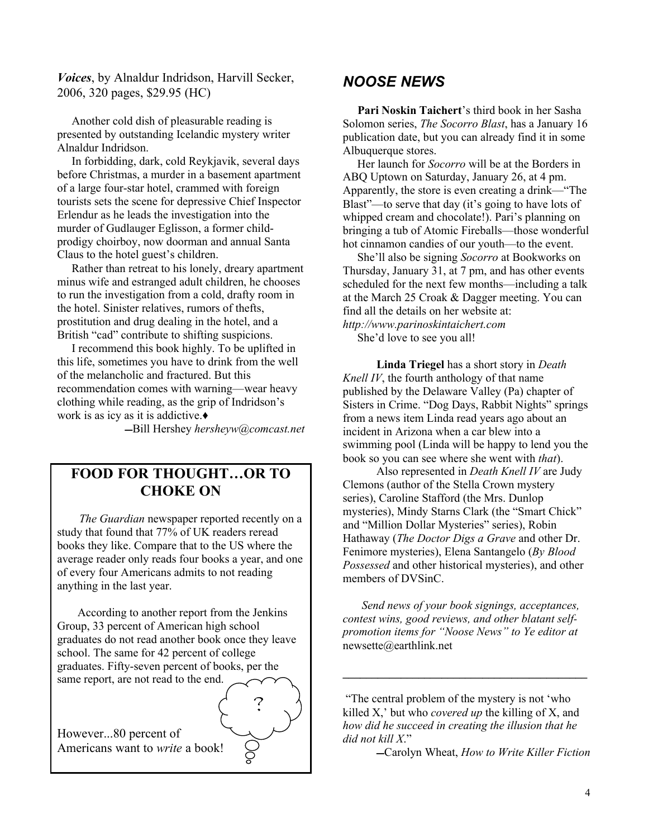*Voices*, by Alnaldur Indridson, Harvill Secker, 2006, 320 pages, \$29.95 (HC)

 Another cold dish of pleasurable reading is presented by outstanding Icelandic mystery writer Alnaldur Indridson.

 In forbidding, dark, cold Reykjavik, several days before Christmas, a murder in a basement apartment of a large four-star hotel, crammed with foreign tourists sets the scene for depressive Chief Inspector Erlendur as he leads the investigation into the murder of Gudlauger Eglisson, a former childprodigy choirboy, now doorman and annual Santa Claus to the hotel guest's children.

 Rather than retreat to his lonely, dreary apartment minus wife and estranged adult children, he chooses to run the investigation from a cold, drafty room in the hotel. Sinister relatives, rumors of thefts, prostitution and drug dealing in the hotel, and a British "cad" contribute to shifting suspicions.

 I recommend this book highly. To be uplifted in this life, sometimes you have to drink from the well of the melancholic and fractured. But this recommendation comes with warning—wear heavy clothing while reading, as the grip of Indridson's work is as icy as it is addictive. $\bullet$ 

̛Bill Hershey *hersheyw@comcast.net*

### **FOOD FOR THOUGHT«OR TO CHOKE ON**

*The Guardian* newspaper reported recently on a study that found that 77% of UK readers reread books they like. Compare that to the US where the average reader only reads four books a year, and one of every four Americans admits to not reading anything in the last year.

 According to another report from the Jenkins Group, 33 percent of American high school graduates do not read another book once they leave school. The same for 42 percent of college graduates. Fifty-seven percent of books, per the same report, are not read to the end.



### *NOOSE NEWS*

Pari Noskin Taichert's third book in her Sasha Solomon series, *The Socorro Blast*, has a January 16 publication date, but you can already find it in some Albuquerque stores.

 Her launch for *Socorro* will be at the Borders in ABQ Uptown on Saturday, January 26, at 4 pm. Apparently, the store is even creating a drink—"The Blast"—to serve that day (it's going to have lots of whipped cream and chocolate!). Pari's planning on bringing a tub of Atomic Fireballs—those wonderful hot cinnamon candies of our youth—to the event.

 She¶ll also be signing *Socorro* at Bookworks on Thursday, January 31, at 7 pm, and has other events scheduled for the next few months—including a talk at the March 25 Croak & Dagger meeting. You can find all the details on her website at: *http://www.parinoskintaichert.com*

She'd love to see you all!

 **Linda Triegel** has a short story in *Death Knell IV*, the fourth anthology of that name published by the Delaware Valley (Pa) chapter of Sisters in Crime. "Dog Days, Rabbit Nights" springs from a news item Linda read years ago about an incident in Arizona when a car blew into a swimming pool (Linda will be happy to lend you the book so you can see where she went with *that*).

 Also represented in *Death Knell IV* are Judy Clemons (author of the Stella Crown mystery series), Caroline Stafford (the Mrs. Dunlop mysteries), Mindy Starns Clark (the "Smart Chick" and "Million Dollar Mysteries" series), Robin Hathaway (*The Doctor Digs a Grave* and other Dr. Fenimore mysteries), Elena Santangelo (*By Blood Possessed* and other historical mysteries), and other members of DVSinC.

*Send news of your book signings, acceptances, contest wins, good reviews, and other blatant selfpromotion items for ³Noose News´ to Ye editor at* newsette@earthlink.net

"The central problem of the mystery is not 'who killed X,' but who *covered up* the killing of X, and *how did he succeed in creating the illusion that he did not kill X*.´

**\_\_\_\_\_\_\_\_\_\_\_\_\_\_\_\_\_\_\_\_\_\_\_\_\_\_\_\_\_\_\_\_\_\_\_\_\_\_\_\_\_\_**

̛Carolyn Wheat, *How to Write Killer Fiction*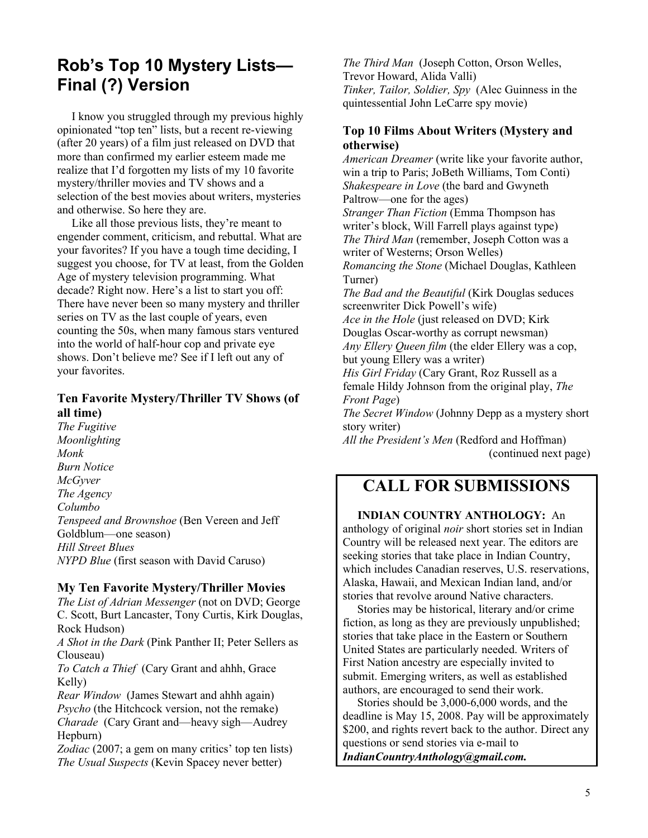### **Rob**'s Top 10 Mystery Lists-**Final (?) Version**

 I know you struggled through my previous highly opinionated "top ten" lists, but a recent re-viewing (after 20 years) of a film just released on DVD that more than confirmed my earlier esteem made me realize that I'd forgotten my lists of my 10 favorite mystery/thriller movies and TV shows and a selection of the best movies about writers, mysteries and otherwise. So here they are.

Like all those previous lists, they're meant to engender comment, criticism, and rebuttal. What are your favorites? If you have a tough time deciding, I suggest you choose, for TV at least, from the Golden Age of mystery television programming. What decade? Right now. Here's a list to start you off: There have never been so many mystery and thriller series on TV as the last couple of years, even counting the 50s, when many famous stars ventured into the world of half-hour cop and private eye shows. Don't believe me? See if I left out any of your favorites.

### **Ten Favorite Mystery/Thriller TV Shows (of all time)**

*The Fugitive Moonlighting Monk Burn Notice McGyver The Agency Columbo Tenspeed and Brownshoe* (Ben Vereen and Jeff Goldblum—one season) *Hill Street Blues NYPD Blue* (first season with David Caruso)

#### **My Ten Favorite Mystery/Thriller Movies**

*The List of Adrian Messenger* (not on DVD; George C. Scott, Burt Lancaster, Tony Curtis, Kirk Douglas, Rock Hudson)

*A Shot in the Dark* (Pink Panther II; Peter Sellers as Clouseau)

*To Catch a Thief* (Cary Grant and ahhh, Grace Kelly)

*Rear Window* (James Stewart and ahhh again) *Psycho* (the Hitchcock version, not the remake) *Charade* (Cary Grant and—heavy sigh—Audrey Hepburn)

*Zodiac* (2007; a gem on many critics' top ten lists) *The Usual Suspects* (Kevin Spacey never better)

*The Third Man* (Joseph Cotton, Orson Welles, Trevor Howard, Alida Valli) *Tinker, Tailor, Soldier, Spy* (Alec Guinness in the quintessential John LeCarre spy movie)

### **Top 10 Films About Writers (Mystery and otherwise)**

*American Dreamer* (write like your favorite author, win a trip to Paris; JoBeth Williams, Tom Conti) *Shakespeare in Love* (the bard and Gwyneth Paltrow—one for the ages) *Stranger Than Fiction* (Emma Thompson has writer's block, Will Farrell plays against type) *The Third Man* (remember, Joseph Cotton was a writer of Westerns; Orson Welles) *Romancing the Stone* (Michael Douglas, Kathleen Turner) *The Bad and the Beautiful* (Kirk Douglas seduces screenwriter Dick Powell's wife) *Ace in the Hole* (just released on DVD; Kirk Douglas Oscar-worthy as corrupt newsman) *Any Ellery Queen film* (the elder Ellery was a cop, but young Ellery was a writer) *His Girl Friday* (Cary Grant, Roz Russell as a female Hildy Johnson from the original play, *The Front Page*) *The Secret Window* (Johnny Depp as a mystery short story writer) *All the President¶s Men* (Redford and Hoffman)

#### (continued next page)

### **CALL FOR SUBMISSIONS**

 **INDIAN COUNTRY ANTHOLOGY:** An anthology of original *noir* short stories set in Indian Country will be released next year. The editors are seeking stories that take place in Indian Country, which includes Canadian reserves, U.S. reservations, Alaska, Hawaii, and Mexican Indian land, and/or stories that revolve around Native characters.

 Stories may be historical, literary and/or crime fiction, as long as they are previously unpublished; stories that take place in the Eastern or Southern United States are particularly needed. Writers of First Nation ancestry are especially invited to submit. Emerging writers, as well as established authors, are encouraged to send their work.

 Stories should be 3,000-6,000 words, and the deadline is May 15, 2008. Pay will be approximately \$200, and rights revert back to the author. Direct any questions or send stories via e-mail to *IndianCountryAnthology@gmail.com.*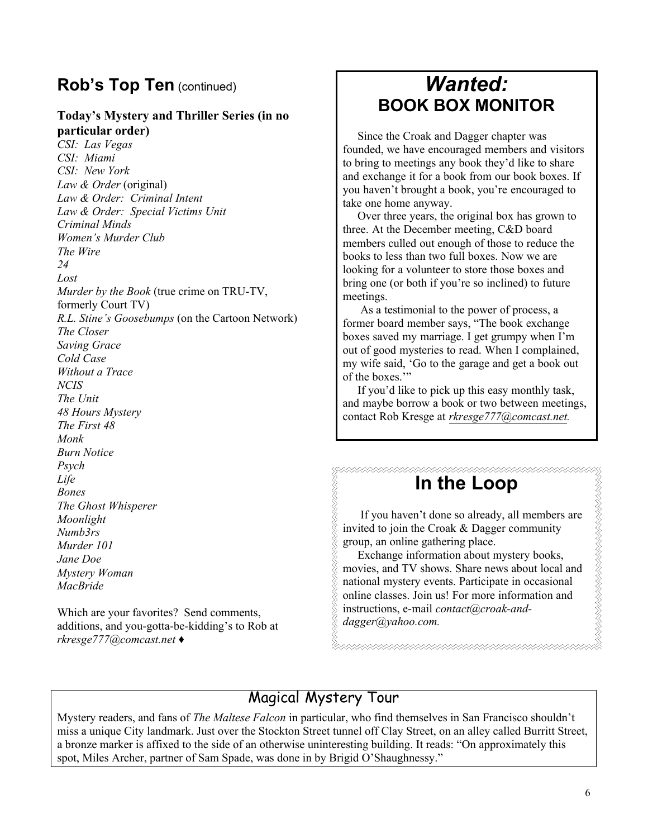### **Rob's Top Ten** (continued)

### **Today¶s Mystery and Thriller Series (in no particular order)**

*CSI: Las Vegas CSI: Miami CSI: New York Law & Order* (original) *Law & Order: Criminal Intent Law & Order: Special Victims Unit Criminal Minds Women¶s Murder Club The Wire 24 Lost Murder by the Book* (true crime on TRU-TV, formerly Court TV) *R.L. Stine¶s Goosebumps* (on the Cartoon Network) *The Closer Saving Grace Cold Case Without a Trace NCIS The Unit 48 Hours Mystery The First 48 Monk Burn Notice Psych Life Bones The Ghost Whisperer Moonlight Numb3rs Murder 101 Jane Doe Mystery Woman*

Which are your favorites? Send comments, additions, and you-gotta-be-kidding's to Rob at *rkresge777@comcast.net* Ƈ

*MacBride*

## *Wanted:* **BOOK BOX MONITOR**

 Since the Croak and Dagger chapter was founded, we have encouraged members and visitors to bring to meetings any book they'd like to share and exchange it for a book from our book boxes. If you haven't brought a book, you're encouraged to take one home anyway.

 Over three years, the original box has grown to three. At the December meeting, C&D board members culled out enough of those to reduce the books to less than two full boxes. Now we are looking for a volunteer to store those boxes and bring one (or both if you're so inclined) to future meetings.

 As a testimonial to the power of process, a former board member says, "The book exchange boxes saved my marriage. I get grumpy when I'm out of good mysteries to read. When I complained, my wife said, 'Go to the garage and get a book out of the boxes."

If you'd like to pick up this easy monthly task, and maybe borrow a book or two between meetings, contact Rob Kresge at *rkresge777@comcast.net.*

# **In the Loop**

If you haven't done so already, all members are invited to join the Croak & Dagger community group, an online gathering place.

 Exchange information about mystery books, movies, and TV shows. Share news about local and national mystery events. Participate in occasional online classes. Join us! For more information and instructions, e-mail *contact@croak-anddagger@yahoo.com.*

\*\*\*\*\*\*\*\*\*\*\*\*\*\*\*\*\*\*\*\*\*

### Magical Mystery Tour

Mystery readers, and fans of *The Maltese Falcon* in particular, who find themselves in San Francisco shouldn't miss a unique City landmark. Just over the Stockton Street tunnel off Clay Street, on an alley called Burritt Street, a bronze marker is affixed to the side of an otherwise uninteresting building. It reads: "On approximately this spot, Miles Archer, partner of Sam Spade, was done in by Brigid O'Shaughnessy."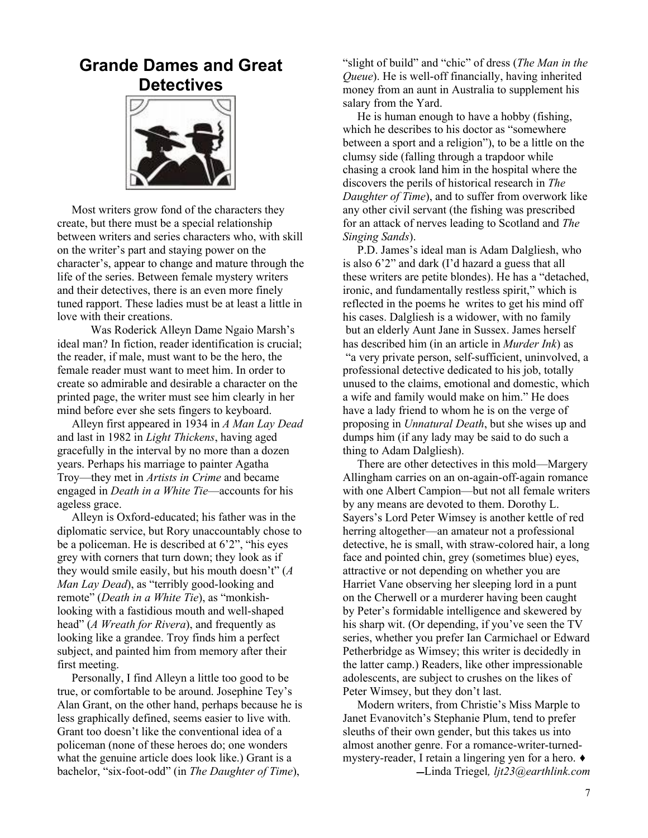### **Grande Dames and Great Detectives**



 Most writers grow fond of the characters they create, but there must be a special relationship between writers and series characters who, with skill on the writer's part and staying power on the character's, appear to change and mature through the life of the series. Between female mystery writers and their detectives, there is an even more finely tuned rapport. These ladies must be at least a little in love with their creations.

Was Roderick Alleyn Dame Ngaio Marsh's ideal man? In fiction, reader identification is crucial; the reader, if male, must want to be the hero, the female reader must want to meet him. In order to create so admirable and desirable a character on the printed page, the writer must see him clearly in her mind before ever she sets fingers to keyboard.

Alleyn first appeared in 1934 in *A Man Lay Dead* and last in 1982 in *Light Thickens*, having aged gracefully in the interval by no more than a dozen years. Perhaps his marriage to painter Agatha Troy—they met in *Artists in Crime* and became engaged in *Death in a White Tie*—accounts for his ageless grace.

 Alleyn is Oxford-educated; his father was in the diplomatic service, but Rory unaccountably chose to be a policeman. He is described at  $6'2'$ , "his eyes" grey with corners that turn down; they look as if they would smile easily, but his mouth doesn't"  $(A)$ *Man Lay Dead*), as "terribly good-looking and remote" (*Death in a White Tie*), as "monkishlooking with a fastidious mouth and well-shaped head" (*A Wreath for Rivera*), and frequently as looking like a grandee. Troy finds him a perfect subject, and painted him from memory after their first meeting.

 Personally, I find Alleyn a little too good to be true, or comfortable to be around. Josephine Tey's Alan Grant, on the other hand, perhaps because he is less graphically defined, seems easier to live with. Grant too doesn't like the conventional idea of a policeman (none of these heroes do; one wonders what the genuine article does look like.) Grant is a bachelor, "six-foot-odd" (in *The Daughter of Time*),

"slight of build" and "chic" of dress (*The Man in the Queue*). He is well-off financially, having inherited money from an aunt in Australia to supplement his salary from the Yard.

 He is human enough to have a hobby (fishing, which he describes to his doctor as "somewhere" between a sport and a religion"), to be a little on the clumsy side (falling through a trapdoor while chasing a crook land him in the hospital where the discovers the perils of historical research in *The Daughter of Time*), and to suffer from overwork like any other civil servant (the fishing was prescribed for an attack of nerves leading to Scotland and *The Singing Sands*).

P.D. James's ideal man is Adam Dalgliesh, who is also  $6'2'$  and dark (I'd hazard a guess that all these writers are petite blondes). He has a "detached, ironic, and fundamentally restless spirit," which is reflected in the poems he writes to get his mind off his cases. Dalgliesh is a widower, with no family but an elderly Aunt Jane in Sussex. James herself has described him (in an article in *Murder Ink*) as ³a very private person, self-sufficient, uninvolved, a professional detective dedicated to his job, totally unused to the claims, emotional and domestic, which a wife and family would make on him." He does have a lady friend to whom he is on the verge of proposing in *Unnatural Death*, but she wises up and dumps him (if any lady may be said to do such a thing to Adam Dalgliesh).

There are other detectives in this mold—Margery Allingham carries on an on-again-off-again romance with one Albert Campion—but not all female writers by any means are devoted to them. Dorothy L. Sayers's Lord Peter Wimsey is another kettle of red herring altogether—an amateur not a professional detective, he is small, with straw-colored hair, a long face and pointed chin, grey (sometimes blue) eyes, attractive or not depending on whether you are Harriet Vane observing her sleeping lord in a punt on the Cherwell or a murderer having been caught by Peter's formidable intelligence and skewered by his sharp wit. (Or depending, if you've seen the TV series, whether you prefer Ian Carmichael or Edward Petherbridge as Wimsey; this writer is decidedly in the latter camp.) Readers, like other impressionable adolescents, are subject to crushes on the likes of Peter Wimsey, but they don't last.

Modern writers, from Christie's Miss Marple to Janet Evanovitch's Stephanie Plum, tend to prefer sleuths of their own gender, but this takes us into almost another genre. For a romance-writer-turnedmystery-reader, I retain a lingering yen for a hero.  $\triangleleft$ ̛Linda Triegel*, ljt23@earthlink.com*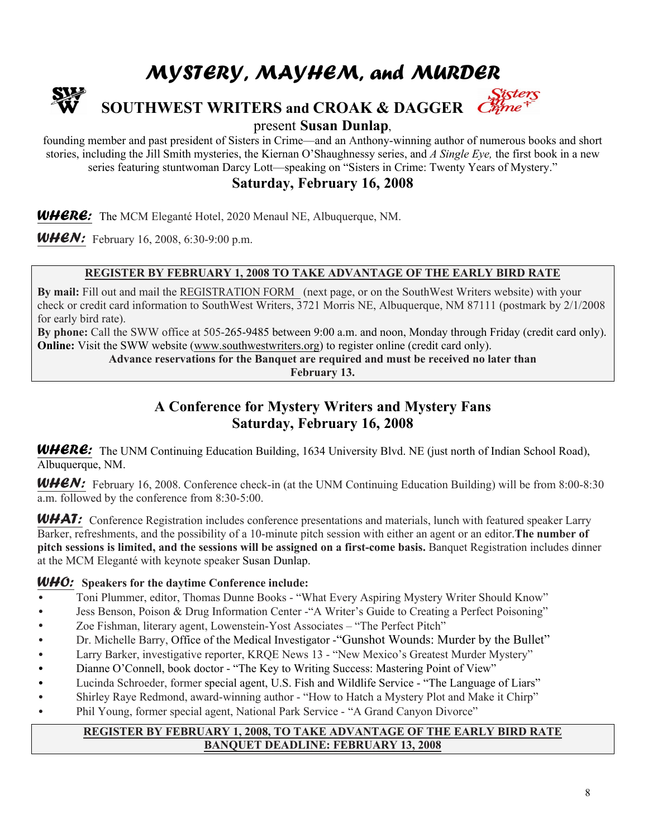# MYSTERY, MAYHEM, and MURDER



# **SOUTHWEST WRITERS and CROAK & DAGGER**

present **Susan Dunlap**,

founding member and past president of Sisters in Crime—and an Anthony-winning author of numerous books and short stories, including the Jill Smith mysteries, the Kiernan O'Shaughnessy series, and *A Single Eye*, the first book in a new series featuring stuntwoman Darcy Lott—speaking on "Sisters in Crime: Twenty Years of Mystery."

**Saturday, February 16, 2008**

WHERE: The MCM Eleganté Hotel, 2020 Menaul NE, Albuquerque, NM.

**WHEN:** February 16, 2008, 6:30-9:00 p.m.

### **REGISTER BY FEBRUARY 1, 2008 TO TAKE ADVANTAGE OF THE EARLY BIRD RATE**

**By mail:** Fill out and mail the REGISTRATION FORM (next page, or on the SouthWest Writers website) with your check or credit card information to SouthWest Writers, 3721 Morris NE, Albuquerque, NM 87111 (postmark by 2/1/2008 for early bird rate).

**By phone:** Call the SWW office at 505-265-9485 between 9:00 a.m. and noon, Monday through Friday (credit card only). **Online:** Visit the SWW website (www.southwestwriters.org) to register online (credit card only).

**Advance reservations for the Banquet are required and must be received no later than**

**February 13.**

### **A Conference for Mystery Writers and Mystery Fans Saturday, February 16, 2008**

WHERE: The UNM Continuing Education Building, 1634 University Blvd. NE (just north of Indian School Road), Albuquerque, NM.

**WHEN:** February 16, 2008. Conference check-in (at the UNM Continuing Education Building) will be from 8:00-8:30 a.m. followed by the conference from 8:30-5:00.

WHAT: Conference Registration includes conference presentations and materials, lunch with featured speaker Larry Barker, refreshments, and the possibility of a 10-minute pitch session with either an agent or an editor.**The number of pitch sessions is limited, and the sessions will be assigned on a first-come basis.** Banquet Registration includes dinner at the MCM Eleganté with keynote speaker Susan Dunlap.

#### WHO: **Speakers for the daytime Conference include:**

- Toni Plummer, editor, Thomas Dunne Books "What Every Aspiring Mystery Writer Should Know"
- Jess Benson, Poison & Drug Information Center "A Writer's Guide to Creating a Perfect Poisoning"
- Zoe Fishman, literary agent, Lowenstein-Yost Associates "The Perfect Pitch"
- Dr. Michelle Barry, Office of the Medical Investigator "Gunshot Wounds: Murder by the Bullet"
- Larry Barker, investigative reporter, KRQE News 13 "New Mexico's Greatest Murder Mystery"
- Dianne O'Connell, book doctor "The Key to Writing Success: Mastering Point of View"
- Lucinda Schroeder, former special agent, U.S. Fish and Wildlife Service "The Language of Liars"
- Shirley Raye Redmond, award-winning author "How to Hatch a Mystery Plot and Make it Chirp"
- Phil Young, former special agent, National Park Service "A Grand Canyon Divorce"

#### **REGISTER BY FEBRUARY 1, 2008, TO TAKE ADVANTAGE OF THE EARLY BIRD RATE BANQUET DEADLINE: FEBRUARY 13, 2008**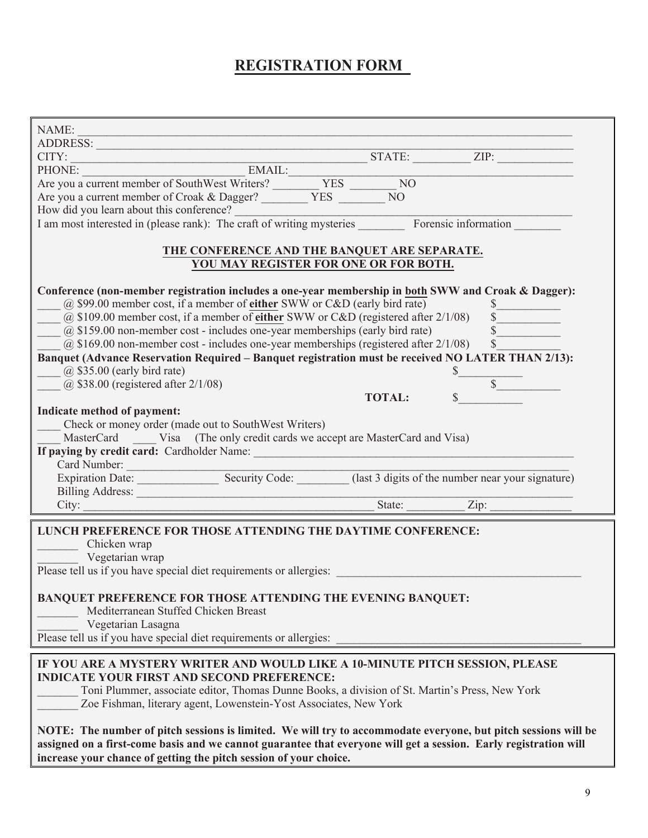### **REGISTRATION FORM**

| NAME:<br><u> 1989 - Johann Stoff, deutscher Stoffen und der Stoffen und der Stoffen und der Stoffen und der Stoffen und d</u>                                                                                                                                                                                                                                                                                                                                                                                                                                                                                                                                                                                                                                                                                                                                                                                                                                |
|--------------------------------------------------------------------------------------------------------------------------------------------------------------------------------------------------------------------------------------------------------------------------------------------------------------------------------------------------------------------------------------------------------------------------------------------------------------------------------------------------------------------------------------------------------------------------------------------------------------------------------------------------------------------------------------------------------------------------------------------------------------------------------------------------------------------------------------------------------------------------------------------------------------------------------------------------------------|
| ADDRESS:                                                                                                                                                                                                                                                                                                                                                                                                                                                                                                                                                                                                                                                                                                                                                                                                                                                                                                                                                     |
|                                                                                                                                                                                                                                                                                                                                                                                                                                                                                                                                                                                                                                                                                                                                                                                                                                                                                                                                                              |
|                                                                                                                                                                                                                                                                                                                                                                                                                                                                                                                                                                                                                                                                                                                                                                                                                                                                                                                                                              |
|                                                                                                                                                                                                                                                                                                                                                                                                                                                                                                                                                                                                                                                                                                                                                                                                                                                                                                                                                              |
|                                                                                                                                                                                                                                                                                                                                                                                                                                                                                                                                                                                                                                                                                                                                                                                                                                                                                                                                                              |
| Are you a current member of Croak & Dagger? _________ YES ________ NO                                                                                                                                                                                                                                                                                                                                                                                                                                                                                                                                                                                                                                                                                                                                                                                                                                                                                        |
| How did you learn about this conference?<br>I am most interested in (please rank): The craft of writing mysteries Forensic information                                                                                                                                                                                                                                                                                                                                                                                                                                                                                                                                                                                                                                                                                                                                                                                                                       |
|                                                                                                                                                                                                                                                                                                                                                                                                                                                                                                                                                                                                                                                                                                                                                                                                                                                                                                                                                              |
|                                                                                                                                                                                                                                                                                                                                                                                                                                                                                                                                                                                                                                                                                                                                                                                                                                                                                                                                                              |
| THE CONFERENCE AND THE BANQUET ARE SEPARATE.                                                                                                                                                                                                                                                                                                                                                                                                                                                                                                                                                                                                                                                                                                                                                                                                                                                                                                                 |
| YOU MAY REGISTER FOR ONE OR FOR BOTH.                                                                                                                                                                                                                                                                                                                                                                                                                                                                                                                                                                                                                                                                                                                                                                                                                                                                                                                        |
| Conference (non-member registration includes a one-year membership in both SWW and Croak & Dagger):<br>@ \$99.00 member cost, if a member of either SWW or C&D (early bird rate)<br>$\frac{\sqrt{2}}{2}$<br>(a) \$109.00 member cost, if a member of either SWW or C&D (registered after $2/1/08$ ) $\overline{\$}$<br>$(a)$ \$159.00 non-member cost - includes one-year memberships (early bird rate)<br>@ \$169.00 non-member cost - includes one-year memberships (registered after $2/1/08$ ) \$<br>Banquet (Advance Reservation Required - Banquet registration must be received NO LATER THAN 2/13):<br>$(a)$ \$35.00 (early bird rate)<br>$(a)$ \$38.00 (registered after 2/1/08)<br>$\mathbb{S}$<br><b>TOTAL:</b><br>Indicate method of payment:<br>Check or money order (made out to SouthWest Writers)<br>MasterCard Visa (The only credit cards we accept are MasterCard and Visa)<br>If paying by credit card: Cardholder Name:<br>Card Number: |
| Expiration Date: Security Code: (last 3 digits of the number near your signature)                                                                                                                                                                                                                                                                                                                                                                                                                                                                                                                                                                                                                                                                                                                                                                                                                                                                            |
|                                                                                                                                                                                                                                                                                                                                                                                                                                                                                                                                                                                                                                                                                                                                                                                                                                                                                                                                                              |
| City: <u>City:</u> Zip: Zip:                                                                                                                                                                                                                                                                                                                                                                                                                                                                                                                                                                                                                                                                                                                                                                                                                                                                                                                                 |
|                                                                                                                                                                                                                                                                                                                                                                                                                                                                                                                                                                                                                                                                                                                                                                                                                                                                                                                                                              |
| LUNCH PREFERENCE FOR THOSE ATTENDING THE DAYTIME CONFERENCE:<br>Chicken wrap<br>Vegetarian wrap<br>Please tell us if you have special diet requirements or allergies:<br><b>BANQUET PREFERENCE FOR THOSE ATTENDING THE EVENING BANQUET:</b><br>Mediterranean Stuffed Chicken Breast<br>Vegetarian Lasagna<br>Please tell us if you have special diet requirements or allergies:                                                                                                                                                                                                                                                                                                                                                                                                                                                                                                                                                                              |
|                                                                                                                                                                                                                                                                                                                                                                                                                                                                                                                                                                                                                                                                                                                                                                                                                                                                                                                                                              |
| IF YOU ARE A MYSTERY WRITER AND WOULD LIKE A 10-MINUTE PITCH SESSION, PLEASE<br><b>INDICATE YOUR FIRST AND SECOND PREFERENCE:</b><br>Toni Plummer, associate editor, Thomas Dunne Books, a division of St. Martin's Press, New York<br>Zoe Fishman, literary agent, Lowenstein-Yost Associates, New York                                                                                                                                                                                                                                                                                                                                                                                                                                                                                                                                                                                                                                                     |
| NOTE: The number of pitch sessions is limited. We will try to accommodate everyone, but pitch sessions will be<br>assigned on a first-come basis and we cannot guarantee that everyone will get a session. Early registration will<br>increase your chance of getting the pitch session of your choice.                                                                                                                                                                                                                                                                                                                                                                                                                                                                                                                                                                                                                                                      |